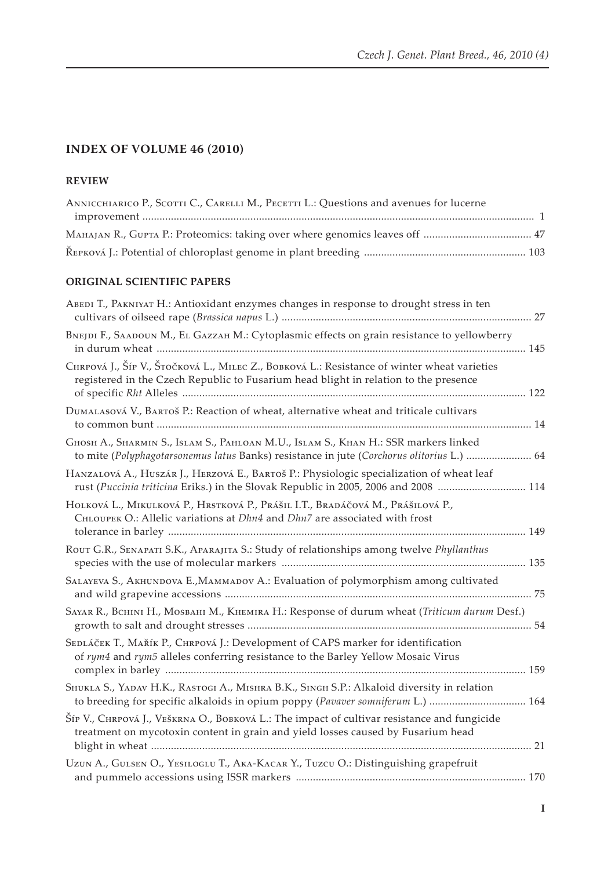# **INDEX OF VOLUME 46 (2010)**

## **Review**

| ANNICCHIARICO P., SCOTTI C., CARELLI M., PECETTI L.: Questions and avenues for lucerne |  |
|----------------------------------------------------------------------------------------|--|
|                                                                                        |  |
|                                                                                        |  |
|                                                                                        |  |

#### **ORIGINAL SCIENTIFIC PAPERS**

| ABEDI T., PAKNIYAT H.: Antioxidant enzymes changes in response to drought stress in ten                                                                                             |  |
|-------------------------------------------------------------------------------------------------------------------------------------------------------------------------------------|--|
| BNEJDI F., SAADOUN M., EL GAZZAH M.: Cytoplasmic effects on grain resistance to yellowberry                                                                                         |  |
| Снкроvá J., Šíp V., Šтоčкоvá L., Милес Z., Вовкоvá L.: Resistance of winter wheat varieties<br>registered in the Czech Republic to Fusarium head blight in relation to the presence |  |
| DUMALASOVÁ V., BARTOŠ P.: Reaction of wheat, alternative wheat and triticale cultivars                                                                                              |  |
| GHOSH A., SHARMIN S., ISLAM S., PAHLOAN M.U., ISLAM S., KHAN H.: SSR markers linked<br>to mite (Polyphagotarsonemus latus Banks) resistance in jute (Corchorus olitorius L.)  64    |  |
| HANZALOVÁ A., HUSZÁR J., HERZOVÁ E., BARTOŠ P.: Physiologic specialization of wheat leaf<br>rust (Puccinia triticina Eriks.) in the Slovak Republic in 2005, 2006 and 2008  114     |  |
| HOLKOVÁ L., MIKULKOVÁ P., HRSTKOVÁ P., PRÁŠIL I.T., BRADÁČOVÁ M., PRÁŠILOVÁ P.,<br>CHLOUPEK O.: Allelic variations at Dhn4 and Dhn7 are associated with frost                       |  |
| ROUT G.R., SENAPATI S.K., APARAJITA S.: Study of relationships among twelve Phyllanthus                                                                                             |  |
| SALAYEVA S., AKHUNDOVA E., MAMMADOV A.: Evaluation of polymorphism among cultivated                                                                                                 |  |
| SAYAR R., BCHINI H., MOSBAHI M., KHEMIRA H.: Response of durum wheat (Triticum durum Desf.)                                                                                         |  |
| SEDLÁČEK T., MAŘÍK P., CHRPOVÁ J.: Development of CAPS marker for identification<br>of rym4 and rym5 alleles conferring resistance to the Barley Yellow Mosaic Virus                |  |
| SHUKLA S., YADAV H.K., RASTOGI A., MISHRA B.K., SINGH S.P.: Alkaloid diversity in relation<br>to breeding for specific alkaloids in opium poppy (Pavaver somniferum L.)  164        |  |
| Šíp V., Снкроvá J., VEŠKRNA O., Вовкоvá L.: The impact of cultivar resistance and fungicide<br>treatment on mycotoxin content in grain and yield losses caused by Fusarium head     |  |
| Uzun A., GULSEN O., YESILOGLU T., AKA-KACAR Y., TUZCU O.: Distinguishing grapefruit                                                                                                 |  |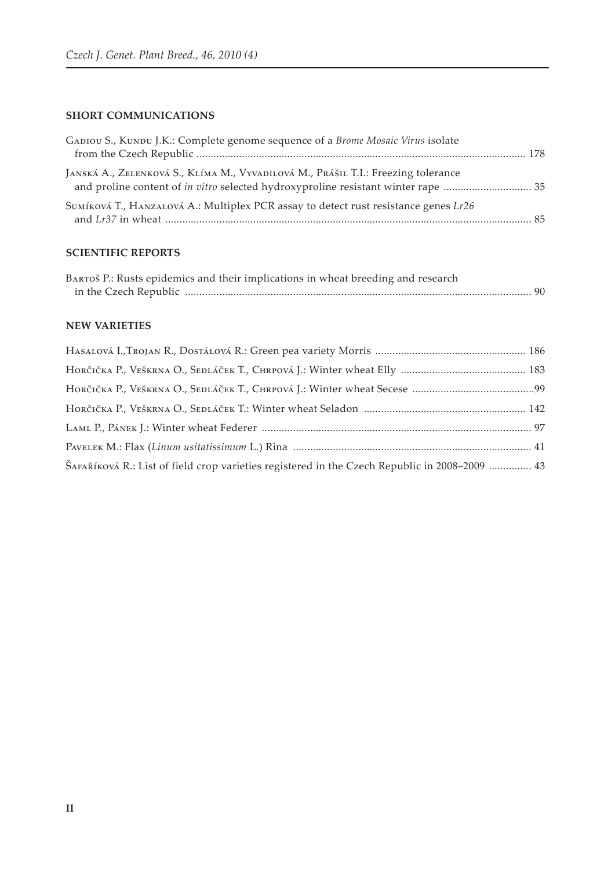#### **SHORT COMMUNICATIONS**

| GADIOU S., KUNDU J.K.: Complete genome sequence of a Brome Mosaic Virus isolate     |  |
|-------------------------------------------------------------------------------------|--|
| JANSKÁ A., ZELENKOVÁ S., KLÍMA M., VYVADILOVÁ M., PRÁŠIL T.I.: Freezing tolerance   |  |
| SUMÍKOVÁ T., HANZALOVÁ A.: Multiplex PCR assay to detect rust resistance genes Lr26 |  |

## **SCIENTIFIC ReportS**

| BARTOŠ P.: Rusts epidemics and their implications in wheat breeding and research |  |
|----------------------------------------------------------------------------------|--|
|                                                                                  |  |

## **NEW VARIETIES**

| ŠAFAŘÍKOVÁ R.: List of field crop varieties registered in the Czech Republic in 2008–2009  43 |
|-----------------------------------------------------------------------------------------------|
|                                                                                               |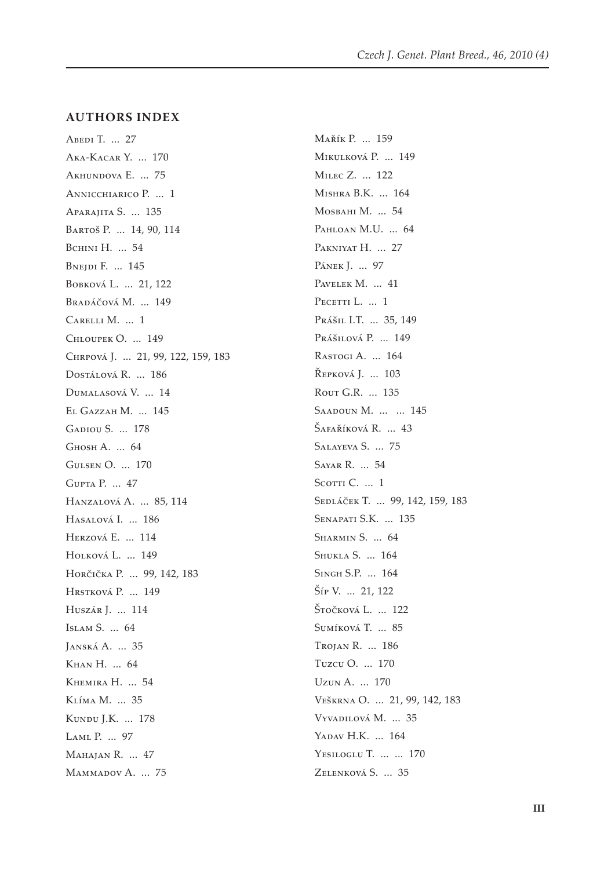#### **Authors Index**

ABEDI T. ... 27 Aka-Kacar Y. ... 170 Akhundova E. ... 75 Annicchiarico P. ... 1 Aparajita S. ... 135 Bartoš P. ... 14, 90, 114 BCHINI H. ... 54 Bnejdi F. ... 145 Bobková L. ... 21, 122 Bradáčová M. ... 149 Carelli M. ... 1 Chloupek O. ... 149 Chrpová J. ... 21, 99, 122, 159, 183 Dostálová R. ... 186 Dumalasová V. ... 14 El Gazzah M. ... 145 Gadiou S. ... 178 Ghosh A. ... 64 Gulsen O. ... 170 Gupta P. ... 47 Hanzalová A. ... 85, 114 Hasalová I. ... 186 Herzová E. ... 114 HOLKOVÁ L. ... 149 Horčička P. ... 99, 142, 183 Hrstková P. ... 149 Huszár J. ... 114 Islam S. ... 64 Janská A. ... 35 Khan H. ... 64 Khemira H. ... 54 Klíma M. ... 35 Kundu J.K. ... 178 Laml P. ... 97 Mahajan R. ... 47 MAMMADOV A. ... 75

Mařík P. ... 159 Mikulková P. ... 149 Milec Z. ... 122 Mishra B.K. ... 164 Mosbahi M. ... 54 PAHLOAN M.U. ... 64 PAKNIYAT H. ... 27 PÁNEK J. ... 97 PAVELEK M. ... 41 PECETTI L. ... 1 Prášil I.T. ... 35, 149 Prášilová P. ... 149 Rastogi A. ... 164 Řepková J. ... 103 Rout G.R. ... 135 SAADOUN M. ... ... 145 Šafaříková R. ... 43 Salayeva S. ... 75 Sayar R. ... 54 SCOTTI C. ... 1 SEDLÁČEK T. ... 99, 142, 159, 183 Senapati S.K. ... 135 Sharmin S. ... 64 Shukla S. ... 164 Singh S.P. ... 164 Šíp V. ... 21, 122 Štočková L. ... 122 Sumíková T. ... 85 Trojan R. ... 186 Tuzcu O. ... 170 Uzun A. ... 170 Veškrna O. ... 21, 99, 142, 183 Vyvadilová M. ... 35 YADAV H.K. ... 164 Yesiloglu T. ... ... 170 ZELENKOVÁ S. ... 35